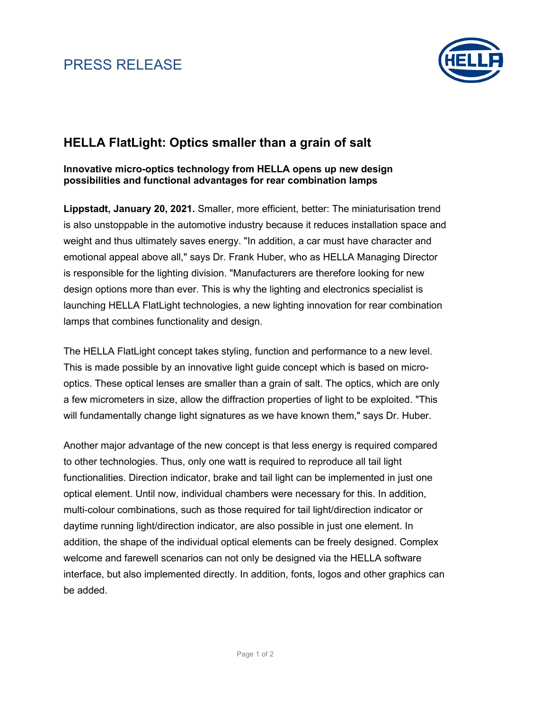# PRESS RELEASE



### **HELLA FlatLight: Optics smaller than a grain of salt**

**Innovative micro-optics technology from HELLA opens up new design possibilities and functional advantages for rear combination lamps**

**Lippstadt, January 20, 2021.** Smaller, more efficient, better: The miniaturisation trend is also unstoppable in the automotive industry because it reduces installation space and weight and thus ultimately saves energy. "In addition, a car must have character and emotional appeal above all," says Dr. Frank Huber, who as HELLA Managing Director is responsible for the lighting division. "Manufacturers are therefore looking for new design options more than ever. This is why the lighting and electronics specialist is launching HELLA FlatLight technologies, a new lighting innovation for rear combination lamps that combines functionality and design.

The HELLA FlatLight concept takes styling, function and performance to a new level. This is made possible by an innovative light guide concept which is based on microoptics. These optical lenses are smaller than a grain of salt. The optics, which are only a few micrometers in size, allow the diffraction properties of light to be exploited. "This will fundamentally change light signatures as we have known them," says Dr. Huber.

Another major advantage of the new concept is that less energy is required compared to other technologies. Thus, only one watt is required to reproduce all tail light functionalities. Direction indicator, brake and tail light can be implemented in just one optical element. Until now, individual chambers were necessary for this. In addition, multi-colour combinations, such as those required for tail light/direction indicator or daytime running light/direction indicator, are also possible in just one element. In addition, the shape of the individual optical elements can be freely designed. Complex welcome and farewell scenarios can not only be designed via the HELLA software interface, but also implemented directly. In addition, fonts, logos and other graphics can be added.